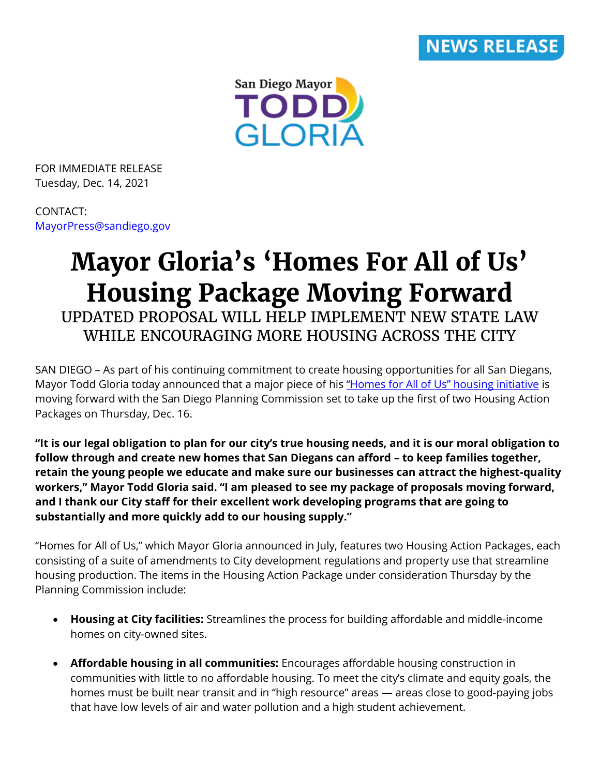

San Diego Mayor TODD, **GLORIA** 

FOR IMMEDIATE RELEASE Tuesday, Dec. 14, 2021

CONTACT: [MayorPress@sandiego.gov](mailto:MayorPress@sandiego.gov)

## **Mayor Gloria's 'Homes For All of Us' Housing Package Moving Forward** UPDATED PROPOSAL WILL HELP IMPLEMENT NEW STATE LAW WHILE ENCOURAGING MORE HOUSING ACROSS THE CITY

SAN DIEGO – As part of his continuing commitment to create housing opportunities for all San Diegans, Mayor Todd Gloria today announced that a major piece of his ["Homes for All of Us" housing initiative](https://www.sandiego.gov/planning/programs/homes-all-us-implementation-proposal) is moving forward with the San Diego Planning Commission set to take up the first of two Housing Action Packages on Thursday, Dec. 16.

**"It is our legal obligation to plan for our city's true housing needs, and it is our moral obligation to follow through and create new homes that San Diegans can afford – to keep families together, retain the young people we educate and make sure our businesses can attract the highest-quality workers," Mayor Todd Gloria said. "I am pleased to see my package of proposals moving forward, and I thank our City staff for their excellent work developing programs that are going to substantially and more quickly add to our housing supply."**

"Homes for All of Us," which Mayor Gloria announced in July, features two Housing Action Packages, each consisting of a suite of amendments to City development regulations and property use that streamline housing production. The items in the Housing Action Package under consideration Thursday by the Planning Commission include:

- **Housing at City facilities:** Streamlines the process for building affordable and middle-income homes on city-owned sites.
- **Affordable housing in all communities:** Encourages affordable housing construction in communities with little to no affordable housing. To meet the city's climate and equity goals, the homes must be built near transit and in "high resource" areas — areas close to good-paying jobs that have low levels of air and water pollution and a high student achievement.